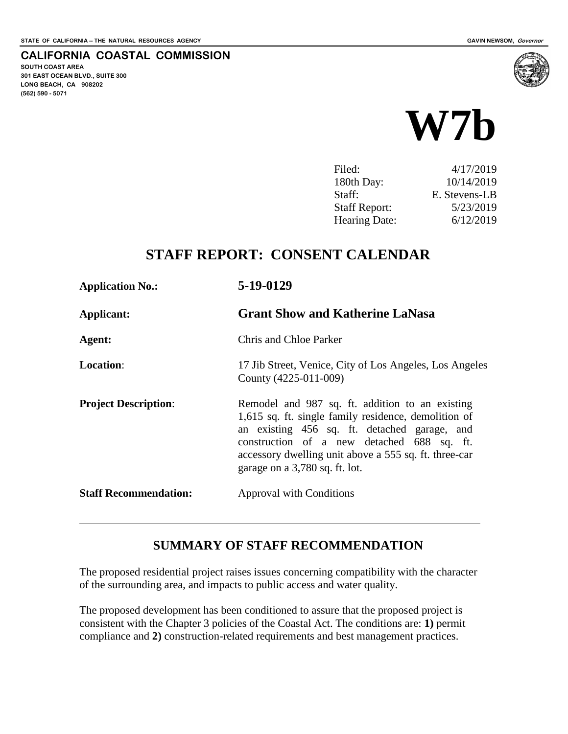**SOUTH COAST AREA**

**(562) 590 - 5071**

**301 EAST OCEAN BLVD., SUITE 300 LONG BEACH, CA 908202**

**CALIFORNIA COASTAL COMMISSION**



| Filed:               | 4/17/2019     |
|----------------------|---------------|
| 180th Day:           | 10/14/2019    |
| Staff:               | E. Stevens-LB |
| <b>Staff Report:</b> | 5/23/2019     |
| <b>Hearing Date:</b> | 6/12/2019     |
|                      |               |

## **STAFF REPORT: CONSENT CALENDAR**

| <b>Application No.:</b>      | 5-19-0129                                                                                                                                                                                                                                                                                        |
|------------------------------|--------------------------------------------------------------------------------------------------------------------------------------------------------------------------------------------------------------------------------------------------------------------------------------------------|
| Applicant:                   | <b>Grant Show and Katherine LaNasa</b>                                                                                                                                                                                                                                                           |
| Agent:                       | Chris and Chloe Parker                                                                                                                                                                                                                                                                           |
| <b>Location:</b>             | 17 Jib Street, Venice, City of Los Angeles, Los Angeles<br>County (4225-011-009)                                                                                                                                                                                                                 |
| <b>Project Description:</b>  | Remodel and 987 sq. ft. addition to an existing<br>1,615 sq. ft. single family residence, demolition of<br>an existing 456 sq. ft. detached garage, and<br>construction of a new detached 688 sq. ft.<br>accessory dwelling unit above a 555 sq. ft. three-car<br>garage on a 3,780 sq. ft. lot. |
| <b>Staff Recommendation:</b> | <b>Approval with Conditions</b>                                                                                                                                                                                                                                                                  |

#### **SUMMARY OF STAFF RECOMMENDATION**

The proposed residential project raises issues concerning compatibility with the character of the surrounding area, and impacts to public access and water quality.

The proposed development has been conditioned to assure that the proposed project is consistent with the Chapter 3 policies of the Coastal Act. The conditions are: **1)** permit compliance and **2)** construction-related requirements and best management practices.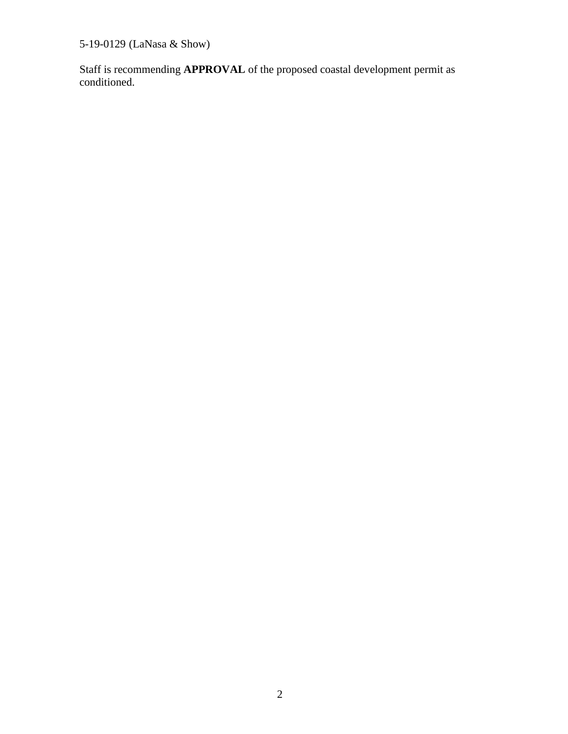5-19-0129 (LaNasa & Show)

Staff is recommending **APPROVAL** of the proposed coastal development permit as conditioned.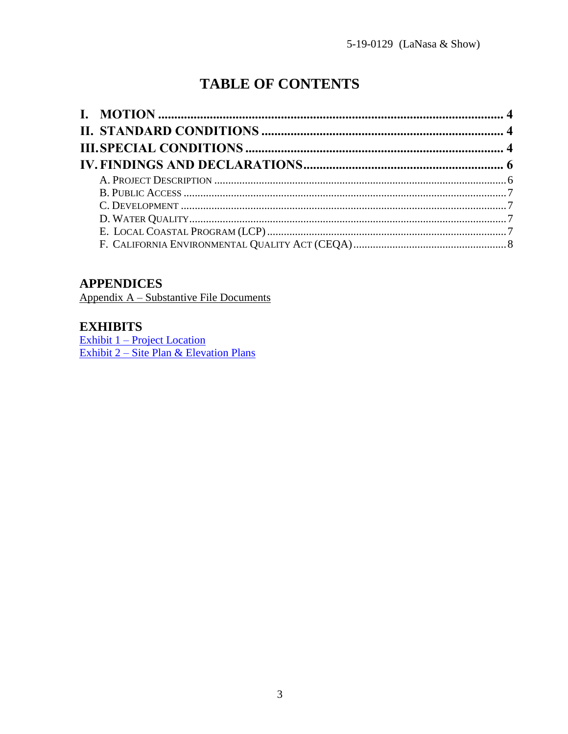# **TABLE OF CONTENTS**

## **APPENDICES**

Appendix A – Substantive File Documents

#### **EXHIBITS**

Exhibit  $1$  – Project Location Exhibit 2 – Site Plan & Elevation Plans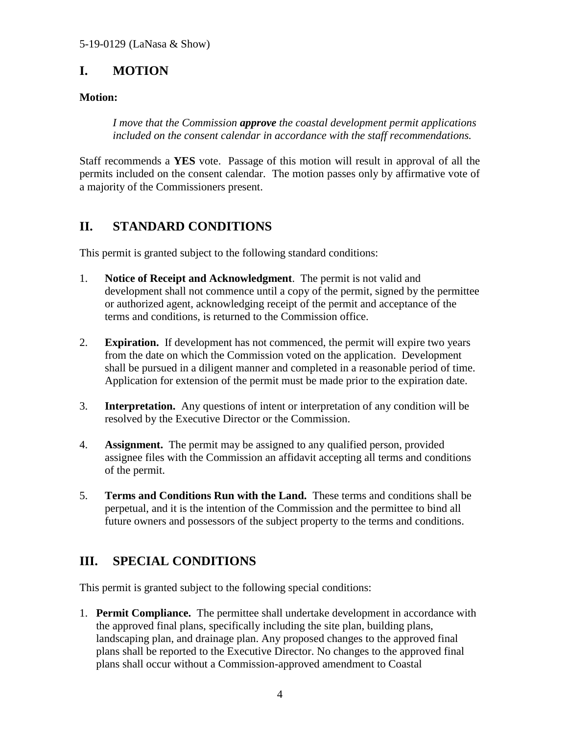## <span id="page-3-0"></span>**I. MOTION**

#### **Motion:**

*I move that the Commission approve the coastal development permit applications included on the consent calendar in accordance with the staff recommendations.*

Staff recommends a **YES** vote. Passage of this motion will result in approval of all the permits included on the consent calendar. The motion passes only by affirmative vote of a majority of the Commissioners present.

## <span id="page-3-1"></span>**II. STANDARD CONDITIONS**

This permit is granted subject to the following standard conditions:

- 1. **Notice of Receipt and Acknowledgment**. The permit is not valid and development shall not commence until a copy of the permit, signed by the permittee or authorized agent, acknowledging receipt of the permit and acceptance of the terms and conditions, is returned to the Commission office.
- 2. **Expiration.** If development has not commenced, the permit will expire two years from the date on which the Commission voted on the application. Development shall be pursued in a diligent manner and completed in a reasonable period of time. Application for extension of the permit must be made prior to the expiration date.
- 3. **Interpretation.** Any questions of intent or interpretation of any condition will be resolved by the Executive Director or the Commission.
- 4. **Assignment.** The permit may be assigned to any qualified person, provided assignee files with the Commission an affidavit accepting all terms and conditions of the permit.
- 5. **Terms and Conditions Run with the Land.** These terms and conditions shall be perpetual, and it is the intention of the Commission and the permittee to bind all future owners and possessors of the subject property to the terms and conditions.

## <span id="page-3-2"></span>**III. SPECIAL CONDITIONS**

This permit is granted subject to the following special conditions:

1. **Permit Compliance.** The permittee shall undertake development in accordance with the approved final plans, specifically including the site plan, building plans, landscaping plan, and drainage plan. Any proposed changes to the approved final plans shall be reported to the Executive Director. No changes to the approved final plans shall occur without a Commission-approved amendment to Coastal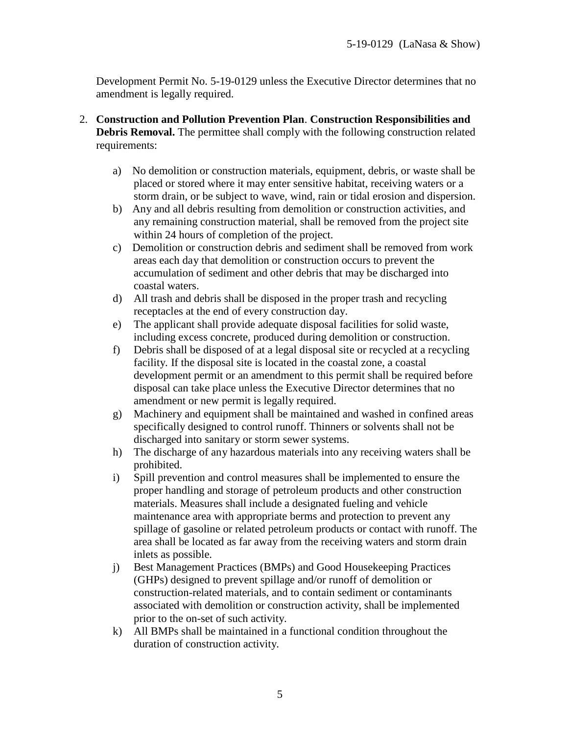Development Permit No. 5-19-0129 unless the Executive Director determines that no amendment is legally required.

- 2. **Construction and Pollution Prevention Plan**. **Construction Responsibilities and Debris Removal.** The permittee shall comply with the following construction related requirements:
	- a) No demolition or construction materials, equipment, debris, or waste shall be placed or stored where it may enter sensitive habitat, receiving waters or a storm drain, or be subject to wave, wind, rain or tidal erosion and dispersion.
	- b) Any and all debris resulting from demolition or construction activities, and any remaining construction material, shall be removed from the project site within 24 hours of completion of the project.
	- c) Demolition or construction debris and sediment shall be removed from work areas each day that demolition or construction occurs to prevent the accumulation of sediment and other debris that may be discharged into coastal waters.
	- d) All trash and debris shall be disposed in the proper trash and recycling receptacles at the end of every construction day.
	- e) The applicant shall provide adequate disposal facilities for solid waste, including excess concrete, produced during demolition or construction.
	- f) Debris shall be disposed of at a legal disposal site or recycled at a recycling facility. If the disposal site is located in the coastal zone, a coastal development permit or an amendment to this permit shall be required before disposal can take place unless the Executive Director determines that no amendment or new permit is legally required.
	- g) Machinery and equipment shall be maintained and washed in confined areas specifically designed to control runoff. Thinners or solvents shall not be discharged into sanitary or storm sewer systems.
	- h) The discharge of any hazardous materials into any receiving waters shall be prohibited.
	- i) Spill prevention and control measures shall be implemented to ensure the proper handling and storage of petroleum products and other construction materials. Measures shall include a designated fueling and vehicle maintenance area with appropriate berms and protection to prevent any spillage of gasoline or related petroleum products or contact with runoff. The area shall be located as far away from the receiving waters and storm drain inlets as possible.
	- j) Best Management Practices (BMPs) and Good Housekeeping Practices (GHPs) designed to prevent spillage and/or runoff of demolition or construction-related materials, and to contain sediment or contaminants associated with demolition or construction activity, shall be implemented prior to the on-set of such activity.
	- k) All BMPs shall be maintained in a functional condition throughout the duration of construction activity.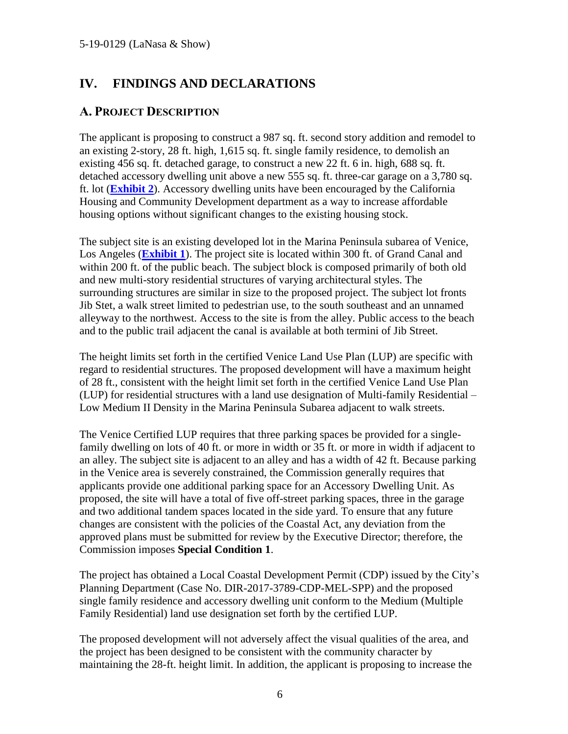## <span id="page-5-0"></span>**IV. FINDINGS AND DECLARATIONS**

#### <span id="page-5-1"></span>**A. PROJECT DESCRIPTION**

The applicant is proposing to construct a 987 sq. ft. second story addition and remodel to an existing 2-story, 28 ft. high, 1,615 sq. ft. single family residence, to demolish an existing 456 sq. ft. detached garage, to construct a new 22 ft. 6 in. high, 688 sq. ft. detached accessory dwelling unit above a new 555 sq. ft. three-car garage on a 3,780 sq. ft. lot (**[Exhibit 2](https://documents.coastal.ca.gov/reports/2019/6/w7b/w7b-6-2019-exhibits.pdf)**). Accessory dwelling units have been encouraged by the California Housing and Community Development department as a way to increase affordable housing options without significant changes to the existing housing stock.

The subject site is an existing developed lot in the Marina Peninsula subarea of Venice, Los Angeles (**[Exhibit 1](https://documents.coastal.ca.gov/reports/2019/6/w7b/w7b-6-2019-exhibits.pdf)**). The project site is located within 300 ft. of Grand Canal and within 200 ft. of the public beach. The subject block is composed primarily of both old and new multi-story residential structures of varying architectural styles. The surrounding structures are similar in size to the proposed project. The subject lot fronts Jib Stet, a walk street limited to pedestrian use, to the south southeast and an unnamed alleyway to the northwest. Access to the site is from the alley. Public access to the beach and to the public trail adjacent the canal is available at both termini of Jib Street.

The height limits set forth in the certified Venice Land Use Plan (LUP) are specific with regard to residential structures. The proposed development will have a maximum height of 28 ft., consistent with the height limit set forth in the certified Venice Land Use Plan (LUP) for residential structures with a land use designation of Multi-family Residential – Low Medium II Density in the Marina Peninsula Subarea adjacent to walk streets.

The Venice Certified LUP requires that three parking spaces be provided for a singlefamily dwelling on lots of 40 ft. or more in width or 35 ft. or more in width if adjacent to an alley. The subject site is adjacent to an alley and has a width of 42 ft. Because parking in the Venice area is severely constrained, the Commission generally requires that applicants provide one additional parking space for an Accessory Dwelling Unit. As proposed, the site will have a total of five off-street parking spaces, three in the garage and two additional tandem spaces located in the side yard. To ensure that any future changes are consistent with the policies of the Coastal Act, any deviation from the approved plans must be submitted for review by the Executive Director; therefore, the Commission imposes **Special Condition 1**.

The project has obtained a Local Coastal Development Permit (CDP) issued by the City's Planning Department (Case No. DIR-2017-3789-CDP-MEL-SPP) and the proposed single family residence and accessory dwelling unit conform to the Medium (Multiple Family Residential) land use designation set forth by the certified LUP.

The proposed development will not adversely affect the visual qualities of the area, and the project has been designed to be consistent with the community character by maintaining the 28-ft. height limit. In addition, the applicant is proposing to increase the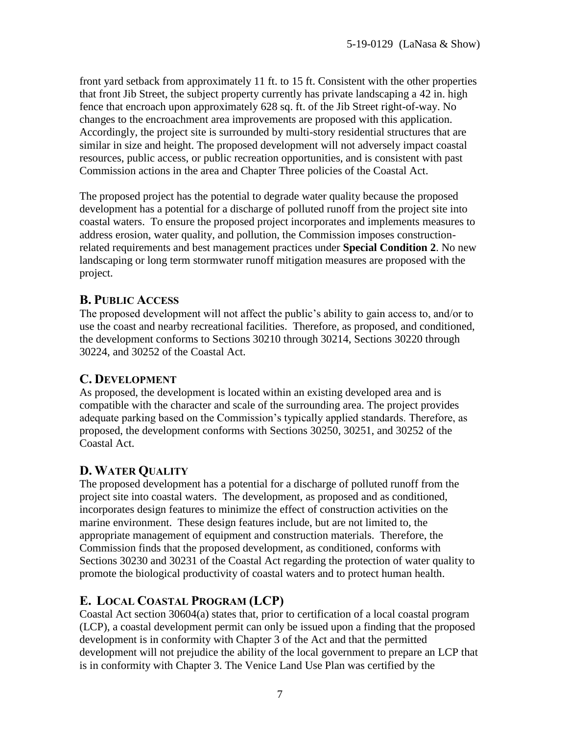front yard setback from approximately 11 ft. to 15 ft. Consistent with the other properties that front Jib Street, the subject property currently has private landscaping a 42 in. high fence that encroach upon approximately 628 sq. ft. of the Jib Street right-of-way. No changes to the encroachment area improvements are proposed with this application. Accordingly, the project site is surrounded by multi-story residential structures that are similar in size and height. The proposed development will not adversely impact coastal resources, public access, or public recreation opportunities, and is consistent with past Commission actions in the area and Chapter Three policies of the Coastal Act.

The proposed project has the potential to degrade water quality because the proposed development has a potential for a discharge of polluted runoff from the project site into coastal waters. To ensure the proposed project incorporates and implements measures to address erosion, water quality, and pollution, the Commission imposes constructionrelated requirements and best management practices under **Special Condition 2**. No new landscaping or long term stormwater runoff mitigation measures are proposed with the project.

## <span id="page-6-0"></span>**B. PUBLIC ACCESS**

The proposed development will not affect the public's ability to gain access to, and/or to use the coast and nearby recreational facilities. Therefore, as proposed, and conditioned, the development conforms to Sections 30210 through 30214, Sections 30220 through 30224, and 30252 of the Coastal Act.

## <span id="page-6-1"></span>**C. DEVELOPMENT**

As proposed, the development is located within an existing developed area and is compatible with the character and scale of the surrounding area. The project provides adequate parking based on the Commission's typically applied standards. Therefore, as proposed, the development conforms with Sections 30250, 30251, and 30252 of the Coastal Act.

## <span id="page-6-2"></span>**D. WATER QUALITY**

The proposed development has a potential for a discharge of polluted runoff from the project site into coastal waters. The development, as proposed and as conditioned, incorporates design features to minimize the effect of construction activities on the marine environment. These design features include, but are not limited to, the appropriate management of equipment and construction materials. Therefore, the Commission finds that the proposed development, as conditioned, conforms with Sections 30230 and 30231 of the Coastal Act regarding the protection of water quality to promote the biological productivity of coastal waters and to protect human health.

## <span id="page-6-3"></span>**E. LOCAL COASTAL PROGRAM (LCP)**

Coastal Act section 30604(a) states that, prior to certification of a local coastal program (LCP), a coastal development permit can only be issued upon a finding that the proposed development is in conformity with Chapter 3 of the Act and that the permitted development will not prejudice the ability of the local government to prepare an LCP that is in conformity with Chapter 3. The Venice Land Use Plan was certified by the